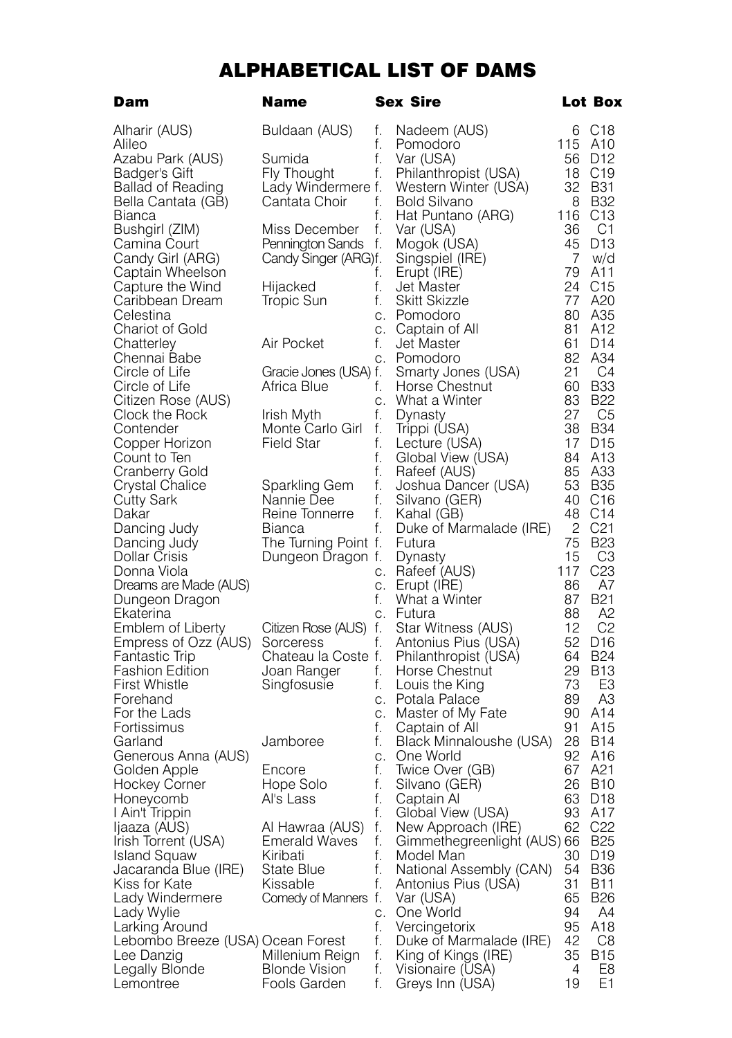## ALPHABETICAL LIST OF DAMS

| Dam                                  | Name                             |          | Sex Sire                                 |           | Lot Box                            |
|--------------------------------------|----------------------------------|----------|------------------------------------------|-----------|------------------------------------|
| Alharir (AUS)                        | Buldaan (AUS)                    | f.       | Nadeem (AUS)                             | 6         | C <sub>18</sub>                    |
| Alileo                               |                                  | f.       | Pomodoro                                 | 115       | A <sub>10</sub>                    |
| Azabu Park (AUS)                     | Sumida                           | f.       | Var (USA)                                | 56        | D <sub>12</sub>                    |
| Badger's Gift                        | Fly Thought                      | f.       | Philanthropist (USA)                     | 18        | C <sub>19</sub>                    |
| Ballad of Reading                    | Lady Windermere f.               |          | Western Winter (USA)                     | 32        | B31                                |
| Bella Cantata (GB)<br>Bianca         | Cantata Choir                    | f.<br>f. | <b>Bold Silvano</b><br>Hat Puntano (ARG) | 8<br>116  | <b>B32</b><br>C <sub>13</sub>      |
| Bushgirl (ZIM)                       | Miss December                    | f.       | Var (USA)                                | 36        | C1                                 |
| Camina Court                         | Pennington Sands                 | f.       | Mogok (USA)                              | 45        | D <sub>13</sub>                    |
| Candy Girl (ARG)                     | Candy Singer (ARG)f.             |          | Singspiel (IRE)                          | 7         | w/d                                |
| Captain Wheelson                     |                                  | f.       | Erupt (IRE)                              | 79        | A11                                |
| Capture the Wind                     | Hijacked                         | f.       | <b>Jet Master</b>                        | 24        | C <sub>15</sub>                    |
| Caribbean Dream                      | Tropic Sun                       | f.       | Skitt Skizzle                            | 77        | A20                                |
| Celestina                            |                                  | C.       | Pomodoro                                 | 80        | A35                                |
| Chariot of Gold                      |                                  | C.       | Captain of All                           | 81        | A12                                |
| Chatterley                           | Air Pocket                       | f.       | <b>Jet Master</b>                        | 61        | D <sub>14</sub>                    |
| Chennai Babe                         |                                  | C.       | Pomodoro                                 | 82        | A34                                |
| Circle of Life                       | Gracie Jones (USA) f.            |          | Smarty Jones (USA)                       | 21        | C4<br><b>B33</b>                   |
| Circle of Life<br>Citizen Rose (AUS) | Africa Blue                      | f.<br>C. | Horse Chestnut<br>What a Winter          | 60<br>83  | <b>B22</b>                         |
| Clock the Rock                       | Irish Myth                       | f.       | Dynasty                                  | 27        | C5                                 |
| Contender                            | Monte Carlo Girl                 | f.       | Trippi (USA)                             | 38        | <b>B34</b>                         |
| Copper Horizon                       | Field Star                       | f.       | Lecture (USA)                            | 17        | D <sub>15</sub>                    |
| Count to Ten                         |                                  | f.       | Global View (USA)                        | 84        | A <sub>13</sub>                    |
| Cranberry Gold                       |                                  | f.       | Rafeef (AUS)                             | 85        | A33                                |
| Crystal Chalice                      | Sparkling Gem                    | f.       | Joshua Dancer (USA)                      | 53        | <b>B35</b>                         |
| Cutty Sark                           | Nannie Dee                       | f.       | Silvano (GER)                            | 40        | C <sub>16</sub>                    |
| Dakar                                | Reine Tonnerre                   | f.       | Kahal (GB)                               | 48        | C <sub>14</sub>                    |
| Dancing Judy                         | Bianca                           | f.       | Duke of Marmalade (IRE)                  | 2         | C <sub>21</sub>                    |
| Dancing Judy                         | The Turning Point f.             |          | Futura                                   | 75        | <b>B23</b>                         |
| Dollar Crisis<br>Donna Viola         | Dungeon Dragon f.                |          | Dynasty                                  | 15<br>117 | CЗ<br>C23                          |
| Dreams are Made (AUS)                |                                  | С.<br>C. | Rafeef (AUS)<br>Erupt (IRE)              | 86        | A7                                 |
| Dungeon Dragon                       |                                  | f.       | What a Winter                            | 87        | <b>B21</b>                         |
| Ekaterina                            |                                  | C.       | Futura                                   | 88        | A2                                 |
| Emblem of Liberty                    | Citizen Rose (AUS) f.            |          | Star Witness (AUS)                       | 12        | C <sub>2</sub>                     |
| Empress of Ozz (AUS)                 | Sorceress                        | f.       | Antonius Pius (USA)                      | 52        | D <sub>16</sub>                    |
| Fantastic Trip                       | Chateau la Coste f.              |          | Philanthropist (USA)                     | 64        | <b>B24</b>                         |
| Fashion Edition                      | Joan Ranger                      | f.       | Horse Chestnut                           | 29        | <b>B13</b>                         |
| <b>First Whistle</b>                 | Singfosusie                      | f.       | Louis the King                           | 73        | EЗ                                 |
| Forehand                             |                                  | C.       | Potala Palace                            | 89        | A <sub>3</sub>                     |
| For the Lads<br>Fortissimus          |                                  | C.<br>f. | Master of My Fate<br>Captain of All      | 90<br>91  | A <sub>14</sub><br>A <sub>15</sub> |
| Garland                              | Jamboree                         | f.       | Black Minnaloushe (USA)                  | 28        | B14                                |
| Generous Anna (AUS)                  |                                  | C.       | One World                                | 92        | A16                                |
| Golden Apple                         | Encore                           | f.       | Twice Over (GB)                          | 67        | A21                                |
| Hockey Corner                        | Hope Solo                        | f.       | Silvano (GER)                            | 26        | <b>B10</b>                         |
| Honeycomb                            | Al's Lass                        | f.       | Captain Al                               | 63        | D <sub>18</sub>                    |
| I Ain't Trippin                      |                                  | f.       | Global View (USA)                        | 93        | A17                                |
| Ijaaza (AUS)                         | Al Hawraa (AUS)                  | f.       | New Approach (IRE)                       | 62        | C <sub>22</sub>                    |
| Irish Torrent (USA)                  | <b>Emerald Waves</b>             | f.       | Gimmethegreenlight (AUS) 66              |           | <b>B25</b>                         |
| Island Squaw                         | Kiribati                         | f.       | Model Man                                | 30        | D <sub>19</sub>                    |
| Jacaranda Blue (IRE)                 | State Blue                       | f.       | National Assembly (CAN)                  | 54        | <b>B36</b>                         |
| Kiss for Kate<br>Lady Windermere     | Kissable<br>Comedy of Manners f. | f.       | Antonius Pius (USA)<br>Var (USA)         | 31<br>65  | <b>B11</b><br><b>B26</b>           |
| Lady Wylie                           |                                  | С.       | One World                                | 94        | A4                                 |
| Larking Around                       |                                  | f.       | Vercingetorix                            | 95        | A18                                |
| Lebombo Breeze (USA) Ocean Forest    |                                  | f.       | Duke of Marmalade (IRE)                  | 42        | C8                                 |
| Lee Danzig                           | Millenium Reign                  | f.       | King of Kings (IRE)                      | 35        | <b>B15</b>                         |
| Legally Blonde                       | <b>Blonde Vision</b>             | f.       | Visionaire (USA)                         | 4         | E8                                 |
| Lemontree                            | Fools Garden                     | f.       | Greys Inn (USA)                          | 19        | E1                                 |